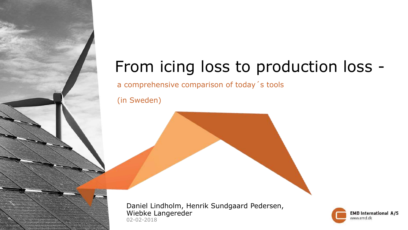## From icing loss to production loss -

a comprehensive comparison of today´s tools

(in Sweden)

02-02-2018 Daniel Lindholm, Henrik Sundgaard Pedersen, Wiebke Langereder

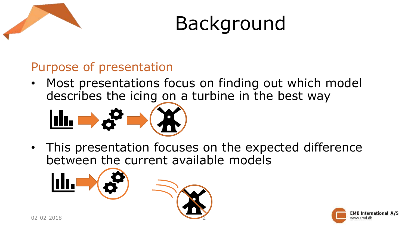



#### Purpose of presentation

• Most presentations focus on finding out which model describes the icing on a turbine in the best way



• This presentation focuses on the expected difference between the current available models



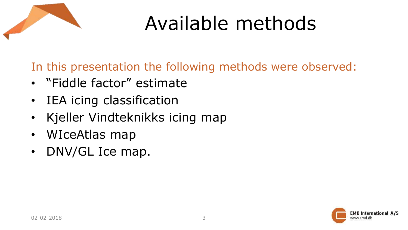

## Available methods

In this presentation the following methods were observed:

- "Fiddle factor" estimate
- IEA icing classification
- Kjeller Vindteknikks icing map
- WIceAtlas map
- DNV/GL Ice map.

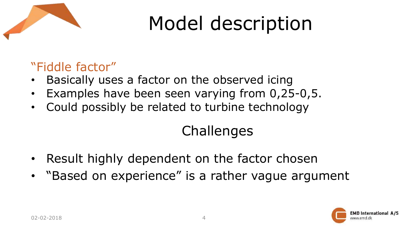

### "Fiddle factor"

- Basically uses a factor on the observed icing
- Examples have been seen varying from 0,25-0,5.
- Could possibly be related to turbine technology

## **Challenges**

- Result highly dependent on the factor chosen
- "Based on experience" is a rather vague argument

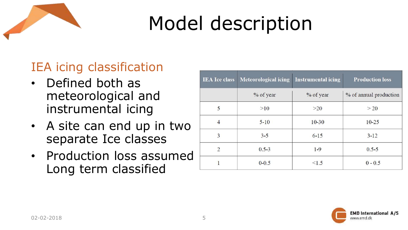

## IEA icing classification

- Defined both as meteorological and instrumental icing
- A site can end up in two separate Ice classes
- Production loss assumed Long term classified

| <b>IEA</b> Ice class | Meteorological icing | <b>Instrumental icing</b> | <b>Production loss</b> |
|----------------------|----------------------|---------------------------|------------------------|
|                      | % of year            | % of year                 | % of annual production |
| 5                    | >10                  | >20                       | >20                    |
| 4                    | $5 - 10$             | $10 - 30$                 | $10 - 25$              |
| 3                    | $3 - 5$              | $6 - 15$                  | $3 - 12$               |
| $\overline{2}$       | $0.5 - 3$            | $1 - 9$                   | $0.5 - 5$              |
|                      | $0 - 0.5$            | < 1.5                     | $0 - 0.5$              |

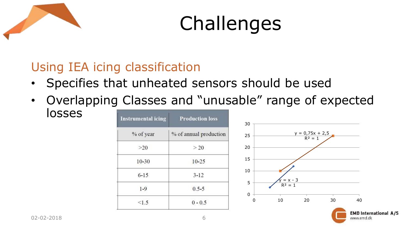



### Using IEA icing classification

- Specifies that unheated sensors should be used
- Overlapping Classes and "unusable" range of expected losses

| <b>Instrumental icing</b> | <b>Production loss</b> |  |
|---------------------------|------------------------|--|
| % of year                 | % of annual production |  |
| $>20$                     | > 20                   |  |
| $10 - 30$                 | $10 - 25$              |  |
| $6 - 15$                  | $3 - 12$               |  |
| $1 - 9$                   | $0.5 - 5$              |  |
| <1.5                      | $0 - 0.5$              |  |



**EMD International A/S** 

www.emd.dk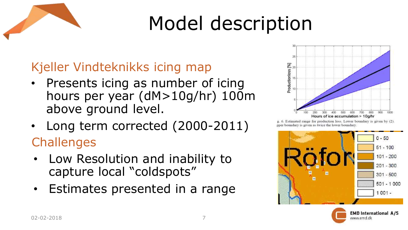

## Kjeller Vindteknikks icing map

- Presents icing as number of icing hours per year (dM>10g/hr) 100m above ground level.
- Long term corrected (2000-2011) **Challenges**
- Low Resolution and inability to capture local "coldspots"
- Estimates presented in a range



g. 6. Estimated range for production loss. Lower boundary is given by (2). pper boundary is given as twice the lower boundary



www.emd.dk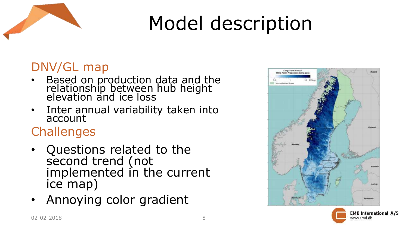

### DNV/GL map

- Based on production data and the relationship between hub height elevation and ice loss
- Inter annual variability taken into account

## **Challenges**

- Questions related to the second trend (not implemented in the current ice map)
- Annoying color gradient



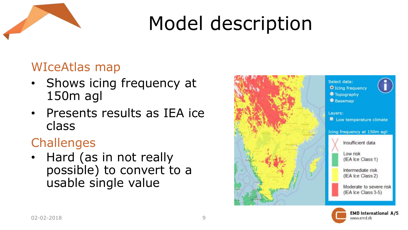

### WIceAtlas map

- Shows icing frequency at 150m agl
- Presents results as IEA ice class

## **Challenges**

• Hard (as in not really possible) to convert to a usable single value



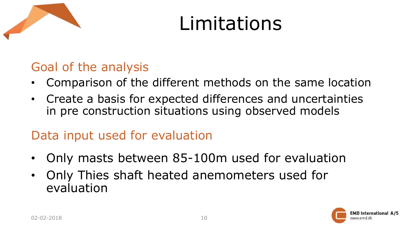

## Limitations

### Goal of the analysis

- Comparison of the different methods on the same location
- Create a basis for expected differences and uncertainties in pre construction situations using observed models

### Data input used for evaluation

- Only masts between 85-100m used for evaluation
- Only Thies shaft heated anemometers used for evaluation

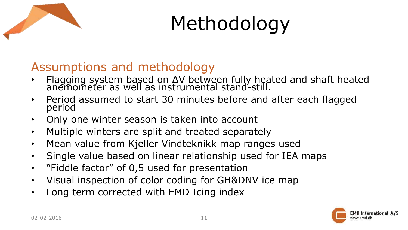

# Methodology

### Assumptions and methodology

- Flagging system based on ΔV between fully heated and shaft heated anemometer as well as instrumental stand-still.
- Period assumed to start 30 minutes before and after each flagged period
- Only one winter season is taken into account
- Multiple winters are split and treated separately
- Mean value from Kjeller Vindteknikk map ranges used
- Single value based on linear relationship used for IEA maps
- "Fiddle factor" of 0,5 used for presentation
- Visual inspection of color coding for GH&DNV ice map
- Long term corrected with EMD Icing index

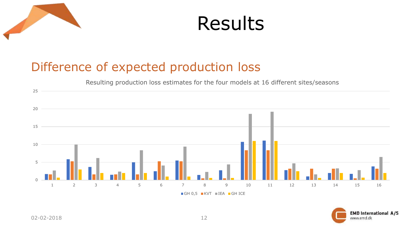

## Results

### Difference of expected production loss

Resulting production loss estimates for the four models at 16 different sites/seasons



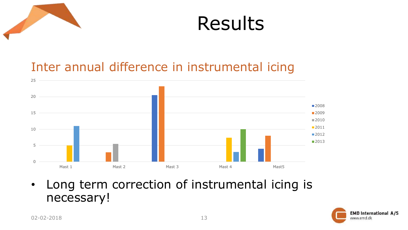



### Inter annual difference in instrumental icing



• Long term correction of instrumental icing is necessary!

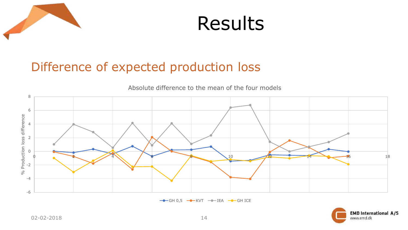



### Difference of expected production loss



 $\rightarrow$  GH 0,5  $\rightarrow$  KVT  $\rightarrow$  IEA  $\rightarrow$  GH ICE

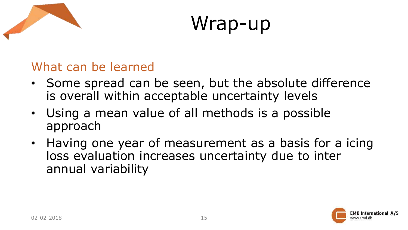

## Wrap-up

#### What can be learned

- Some spread can be seen, but the absolute difference is overall within acceptable uncertainty levels
- Using a mean value of all methods is a possible approach
- Having one year of measurement as a basis for a icing loss evaluation increases uncertainty due to inter annual variability